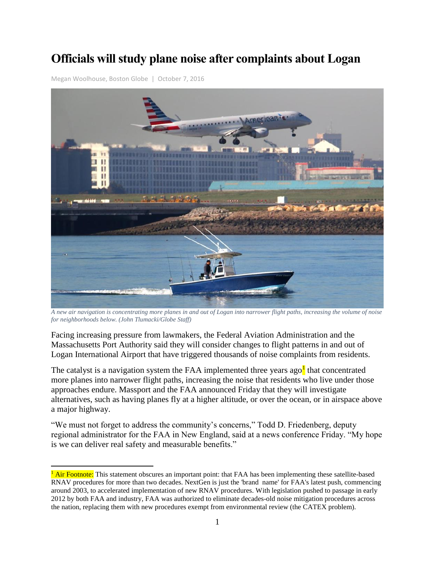# **Officials will study plane noise after complaints about Logan**

[Megan Woolhouse,](https://www.bostonglobe.com/staff/woolhouse) Boston Globe | October 7, 2016

 $\overline{a}$ 



*A new air navigation is concentrating more planes in and out of Logan into narrower flight paths, increasing the volume of noise for neighborhoods below. (John Tlumacki/Globe Staff)*

Facing increasing pressure from lawmakers, the Federal Aviation Administration and the Massachusetts Port Authority said they will consider changes to flight patterns in and out of Logan International Airport that have triggered thousands of noise complaints from residents.

The catalyst is a navigation system the FAA implemented three years ago<sup>1</sup> that concentrated more planes into narrower flight paths, increasing the noise that residents who live under those approaches endure. Massport and the FAA announced Friday that they will investigate alternatives, such as having planes fly at a higher altitude, or over the ocean, or in airspace above a major highway.

"We must not forget to address the community's concerns," Todd D. Friedenberg, deputy regional administrator for the FAA in New England, said at a news conference Friday. "My hope is we can deliver real safety and measurable benefits."

<sup>&</sup>lt;sup>1</sup> Air Footnote: This statement obscures an important point: that FAA has been implementing these satellite-based RNAV procedures for more than two decades. NextGen is just the 'brand name' for FAA's latest push, commencing around 2003, to accelerated implementation of new RNAV procedures. With legislation pushed to passage in early 2012 by both FAA and industry, FAA was authorized to eliminate decades-old noise mitigation procedures across the nation, replacing them with new procedures exempt from environmental review (the CATEX problem).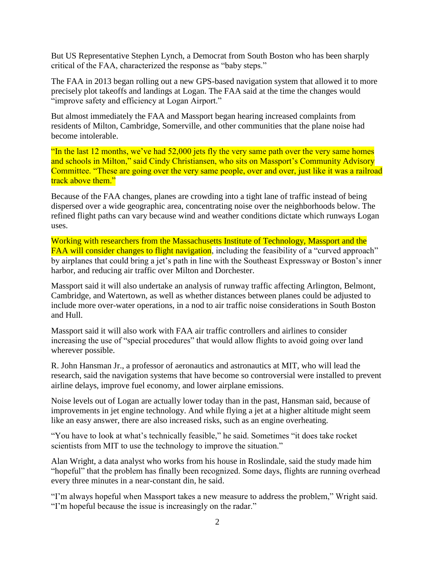But US Representative Stephen Lynch, a Democrat from South Boston who has been sharply critical of the FAA, characterized the response as "baby steps."

The FAA in 2013 began rolling out a new GPS-based navigation system that allowed it to more precisely plot takeoffs and landings at Logan. The FAA said at the time the changes would "improve safety and efficiency at Logan Airport."

But almost immediately the FAA and Massport began hearing increased complaints from residents of Milton, Cambridge, Somerville, and other communities that the plane noise had become intolerable.

"In the last 12 months, we've had 52,000 jets fly the very same path over the very same homes and schools in Milton," said Cindy Christiansen, who sits on Massport's Community Advisory Committee. "These are going over the very same people, over and over, just like it was a railroad track above them."

Because of the FAA changes, planes are crowding into a tight lane of traffic instead of being dispersed over a wide geographic area, concentrating noise over the neighborhoods below. The refined flight paths can vary because wind and weather conditions dictate which runways Logan uses.

Working with researchers from the Massachusetts Institute of Technology, Massport and the FAA will consider changes to flight navigation, including the feasibility of a "curved approach" by airplanes that could bring a jet's path in line with the Southeast Expressway or Boston's inner harbor, and reducing air traffic over Milton and Dorchester.

Massport said it will also undertake an analysis of runway traffic affecting Arlington, Belmont, Cambridge, and Watertown, as well as whether distances between planes could be adjusted to include more over-water operations, in a nod to air traffic noise considerations in South Boston and Hull.

Massport said it will also work with FAA air traffic controllers and airlines to consider increasing the use of "special procedures" that would allow flights to avoid going over land wherever possible.

R. John Hansman Jr., a professor of aeronautics and astronautics at MIT, who will lead the research, said the navigation systems that have become so controversial were installed to prevent airline delays, improve fuel economy, and lower airplane emissions.

Noise levels out of Logan are actually lower today than in the past, Hansman said, because of improvements in jet engine technology. And while flying a jet at a higher altitude might seem like an easy answer, there are also increased risks, such as an engine overheating.

"You have to look at what's technically feasible," he said. Sometimes "it does take rocket scientists from MIT to use the technology to improve the situation."

Alan Wright, a data analyst who works from his house in Roslindale, said the study made him "hopeful" that the problem has finally been recognized. Some days, flights are running overhead every three minutes in a near-constant din, he said.

"I'm always hopeful when Massport takes a new measure to address the problem," Wright said. "I'm hopeful because the issue is increasingly on the radar."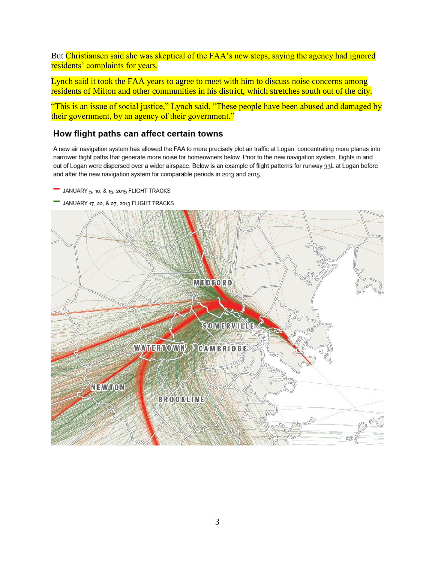But Christiansen said she was skeptical of the FAA's new steps, saying the agency had ignored residents' complaints for years.

Lynch said it took the FAA years to agree to meet with him to discuss noise concerns among residents of Milton and other communities in his district, which stretches south out of the city.

"This is an issue of social justice," Lynch said. "These people have been abused and damaged by their government, by an agency of their government."

# How flight paths can affect certain towns

A new air navigation system has allowed the FAA to more precisely plot air traffic at Logan, concentrating more planes into narrower flight paths that generate more noise for homeowners below. Prior to the new navigation system, flights in and out of Logan were dispersed over a wider airspace. Below is an example of flight patterns for runway 33L at Logan before and after the new navigation system for comparable periods in 2013 and 2015.

- JANUARY 5, 10, & 15, 2015 FLIGHT TRACKS
- JANUARY 17, 22, & 27, 2013 FLIGHT TRACKS

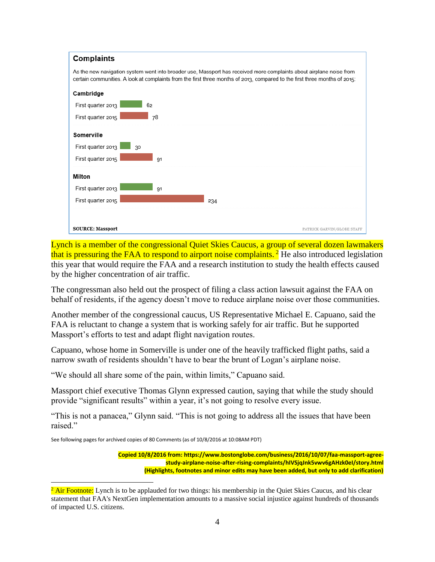

Lynch is a member of the congressional Quiet Skies Caucus, a group of several dozen lawmakers that is pressuring the FAA to respond to airport noise complaints.<sup>2</sup> He also introduced legislation this year that would require the FAA and a research institution to study the health effects caused by the higher concentration of air traffic.

The congressman also held out the prospect of filing a class action lawsuit against the FAA on behalf of residents, if the agency doesn't move to reduce airplane noise over those communities.

Another member of the congressional caucus, US Representative Michael E. Capuano, said the FAA is reluctant to change a system that is working safely for air traffic. But he supported Massport's efforts to test and adapt flight navigation routes.

Capuano, whose home in Somerville is under one of the heavily trafficked flight paths, said a narrow swath of residents shouldn't have to bear the brunt of Logan's airplane noise.

"We should all share some of the pain, within limits," Capuano said.

Massport chief executive Thomas Glynn expressed caution, saying that while the study should provide "significant results" within a year, it's not going to resolve every issue.

"This is not a panacea," Glynn said. "This is not going to address all the issues that have been raised."

See following pages for archived copies of 80 Comments (as of 10/8/2016 at 10:08AM PDT)

 $\overline{a}$ 

**Copied 10/8/2016 from: https://www.bostonglobe.com/business/2016/10/07/faa-massport-agreestudy-airplane-noise-after-rising-complaints/hIVSjqJnk5vwv6gAHzk0eI/story.html (Highlights, footnotes and minor edits may have been added, but only to add clarification)**

<sup>&</sup>lt;sup>2</sup> Air Footnote: Lynch is to be applauded for two things: his membership in the Quiet Skies Caucus, and his clear statement that FAA's NextGen implementation amounts to a massive social injustice against hundreds of thousands of impacted U.S. citizens.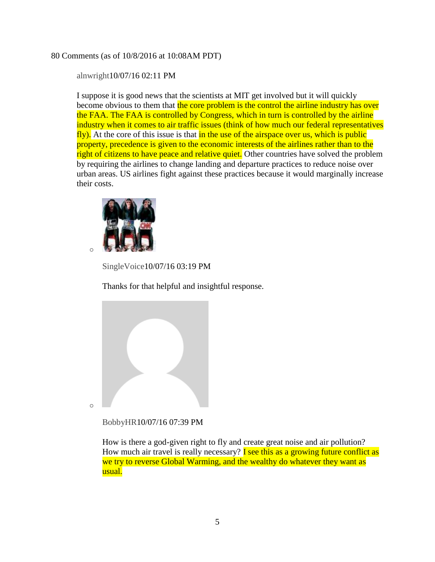# 80 Comments (as of 10/8/2016 at 10:08AM PDT)

[alnwright1](http://boston.com/community/user/5482276)0/07/16 02:11 PM

I suppose it is good news that the scientists at MIT get involved but it will quickly become obvious to them that the core problem is the control the airline industry has over the FAA. The FAA is controlled by Congress, which in turn is controlled by the airline industry when it comes to air traffic issues (think of how much our federal representatives fly). At the core of this issue is that in the use of the airspace over us, which is public property, precedence is given to the economic interests of the airlines rather than to the right of citizens to have peace and relative quiet. Other countries have solved the problem by requiring the airlines to change landing and departure practices to reduce noise over urban areas. US airlines fight against these practices because it would marginally increase their costs.



[SingleVoice1](http://boston.com/community/user/5303690)0/07/16 03:19 PM

Thanks for that helpful and insightful response.



[BobbyHR1](http://boston.com/community/user/5288544)0/07/16 07:39 PM

How is there a god-given right to fly and create great noise and air pollution? How much air travel is really necessary? **I see this as a growing future conflict as** we try to reverse Global Warming, and the wealthy do whatever they want as usual.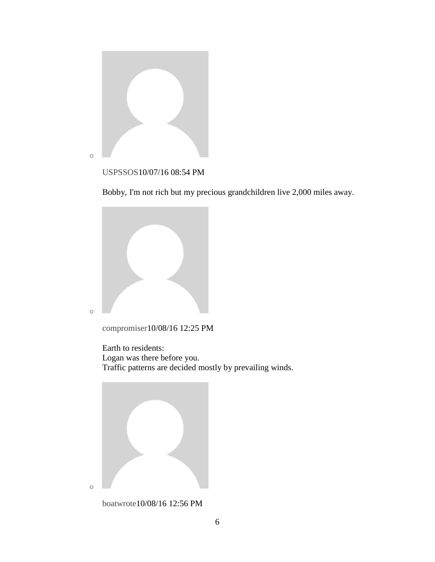

# [USPSSOS1](http://boston.com/community/user/5452087)0/07/16 08:54 PM

Bobby, I'm not rich but my precious grandchildren live 2,000 miles away.



[compromiser1](http://boston.com/community/user/5035607)0/08/16 12:25 PM

Earth to residents: Logan was there before you. Traffic patterns are decided mostly by prevailing winds.



[boatwrote1](http://boston.com/community/user/5114205)0/08/16 12:56 PM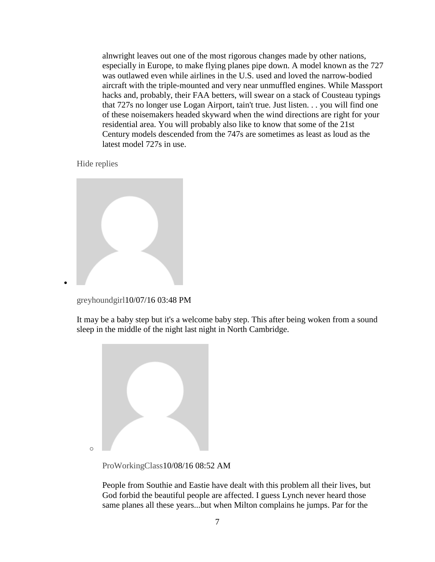alnwright leaves out one of the most rigorous changes made by other nations, especially in Europe, to make flying planes pipe down. A model known as the 727 was outlawed even while airlines in the U.S. used and loved the narrow-bodied aircraft with the triple-mounted and very near unmuffled engines. While Massport hacks and, probably, their FAA betters, will swear on a stack of Cousteau typings that 727s no longer use Logan Airport, tain't true. Just listen. . . you will find one of these noisemakers headed skyward when the wind directions are right for your residential area. You will probably also like to know that some of the 21st Century models descended from the 747s are sometimes as least as loud as the latest model 727s in use.

[Hide replies](https://www.bostonglobe.com/business/2016/10/07/faa-massport-agree-study-airplane-noise-after-rising-complaints/hIVSjqJnk5vwv6gAHzk0eI/story.html)

 $\bullet$ 

[greyhoundgirl1](http://boston.com/community/user/5091726)0/07/16 03:48 PM

It may be a baby step but it's a welcome baby step. This after being woken from a sound sleep in the middle of the night last night in North Cambridge.



[ProWorkingClass1](http://boston.com/community/user/5111076)0/08/16 08:52 AM

People from Southie and Eastie have dealt with this problem all their lives, but God forbid the beautiful people are affected. I guess Lynch never heard those same planes all these years...but when Milton complains he jumps. Par for the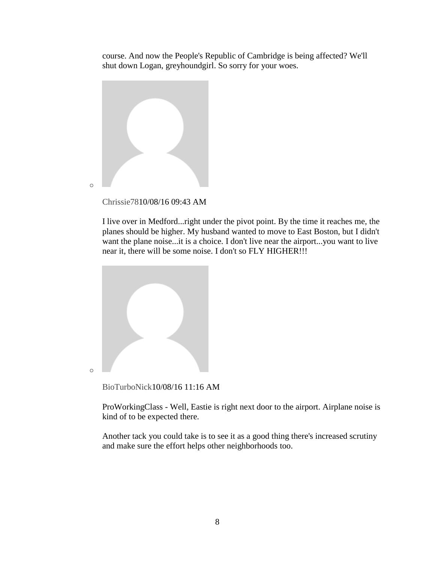course. And now the People's Republic of Cambridge is being affected? We'll shut down Logan, greyhoundgirl. So sorry for your woes.



[Chrissie781](http://boston.com/community/user/5366454)0/08/16 09:43 AM

I live over in Medford...right under the pivot point. By the time it reaches me, the planes should be higher. My husband wanted to move to East Boston, but I didn't want the plane noise...it is a choice. I don't live near the airport...you want to live near it, there will be some noise. I don't so FLY HIGHER!!!



[BioTurboNick1](http://boston.com/community/user/5519621)0/08/16 11:16 AM

ProWorkingClass - Well, Eastie is right next door to the airport. Airplane noise is kind of to be expected there.

Another tack you could take is to see it as a good thing there's increased scrutiny and make sure the effort helps other neighborhoods too.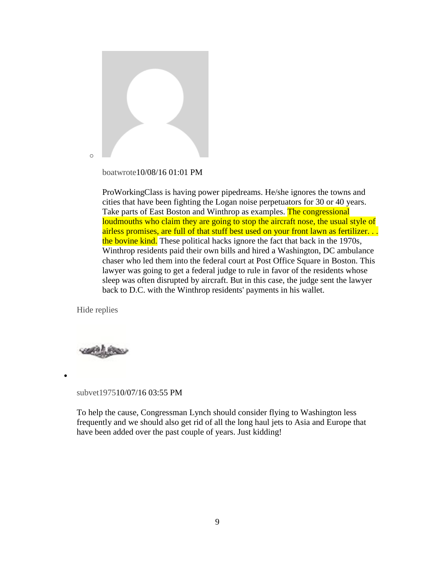

[boatwrote1](http://boston.com/community/user/5114205)0/08/16 01:01 PM

ProWorkingClass is having power pipedreams. He/she ignores the towns and cities that have been fighting the Logan noise perpetuators for 30 or 40 years. Take parts of East Boston and Winthrop as examples. The congressional loudmouths who claim they are going to stop the aircraft nose, the usual style of airless promises, are full of that stuff best used on your front lawn as fertilizer. . . the bovine kind. These political hacks ignore the fact that back in the 1970s, Winthrop residents paid their own bills and hired a Washington, DC ambulance chaser who led them into the federal court at Post Office Square in Boston. This lawyer was going to get a federal judge to rule in favor of the residents whose sleep was often disrupted by aircraft. But in this case, the judge sent the lawyer back to D.C. with the Winthrop residents' payments in his wallet.

[Hide replies](https://www.bostonglobe.com/business/2016/10/07/faa-massport-agree-study-airplane-noise-after-rising-complaints/hIVSjqJnk5vwv6gAHzk0eI/story.html)



 $\bullet$ 

#### [subvet19751](http://boston.com/community/user/5486614)0/07/16 03:55 PM

To help the cause, Congressman Lynch should consider flying to Washington less frequently and we should also get rid of all the long haul jets to Asia and Europe that have been added over the past couple of years. Just kidding!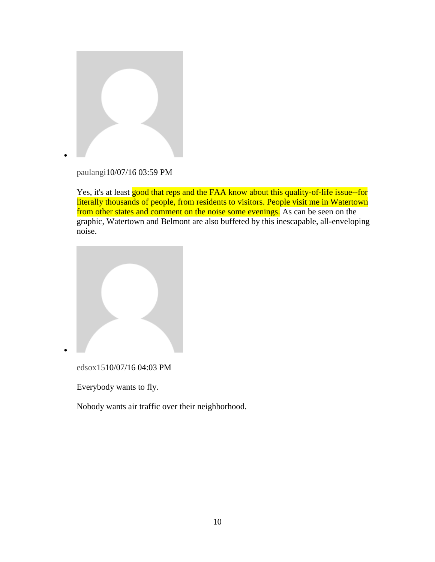

[paulangi1](http://boston.com/community/user/5028917)0/07/16 03:59 PM

Yes, it's at least good that reps and the FAA know about this quality-of-life issue--for literally thousands of people, from residents to visitors. People visit me in Watertown from other states and comment on the noise some evenings. As can be seen on the graphic, Watertown and Belmont are also buffeted by this inescapable, all-enveloping noise.



[edsox151](http://boston.com/community/user/5291214)0/07/16 04:03 PM

Everybody wants to fly.

 $\bullet$ 

Nobody wants air traffic over their neighborhood.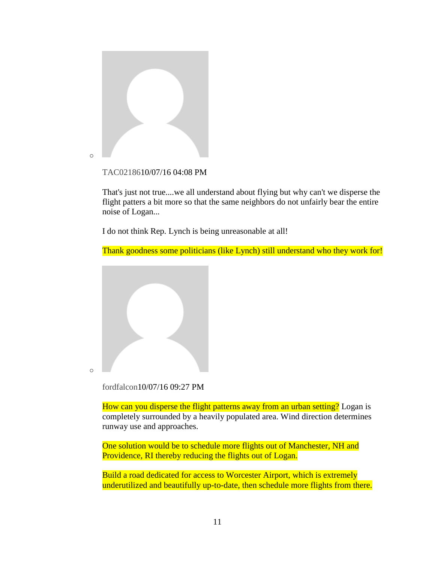

#### [TAC021861](http://boston.com/community/user/5246610)0/07/16 04:08 PM

That's just not true....we all understand about flying but why can't we disperse the flight patters a bit more so that the same neighbors do not unfairly bear the entire noise of Logan...

I do not think Rep. Lynch is being unreasonable at all!

Thank goodness some politicians (like Lynch) still understand who they work for!



[fordfalcon1](http://boston.com/community/user/5050136)0/07/16 09:27 PM

How can you disperse the flight patterns away from an urban setting? Logan is completely surrounded by a heavily populated area. Wind direction determines runway use and approaches.

One solution would be to schedule more flights out of Manchester, NH and Providence, RI thereby reducing the flights out of Logan.

Build a road dedicated for access to Worcester Airport, which is extremely underutilized and beautifully up-to-date, then schedule more flights from there.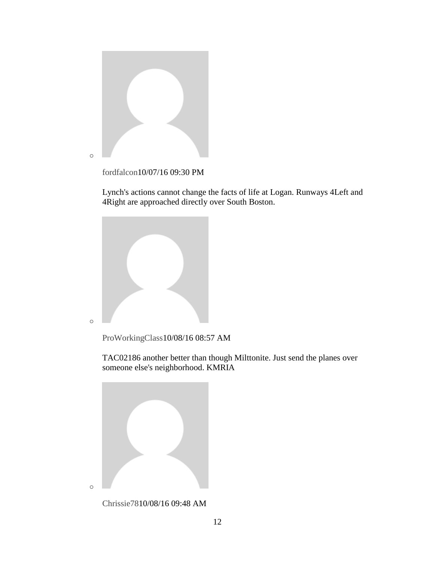

[fordfalcon1](http://boston.com/community/user/5050136)0/07/16 09:30 PM

Lynch's actions cannot change the facts of life at Logan. Runways 4Left and 4Right are approached directly over South Boston.



[ProWorkingClass1](http://boston.com/community/user/5111076)0/08/16 08:57 AM

TAC02186 another better than though Milttonite. Just send the planes over someone else's neighborhood. KMRIA



[Chrissie781](http://boston.com/community/user/5366454)0/08/16 09:48 AM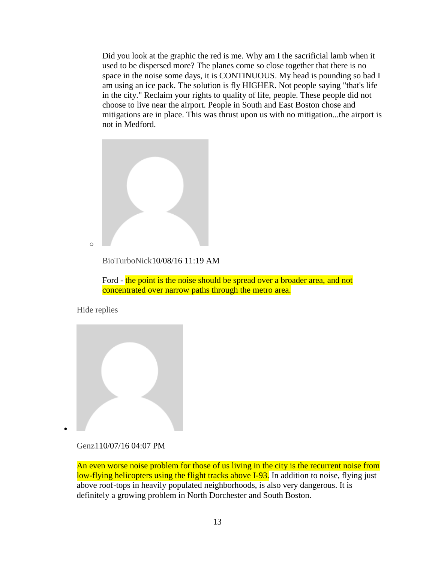Did you look at the graphic the red is me. Why am I the sacrificial lamb when it used to be dispersed more? The planes come so close together that there is no space in the noise some days, it is CONTINUOUS. My head is pounding so bad I am using an ice pack. The solution is fly HIGHER. Not people saying "that's life in the city." Reclaim your rights to quality of life, people. These people did not choose to live near the airport. People in South and East Boston chose and mitigations are in place. This was thrust upon us with no mitigation...the airport is not in Medford.



[BioTurboNick1](http://boston.com/community/user/5519621)0/08/16 11:19 AM

Ford - the point is the noise should be spread over a broader area, and not concentrated over narrow paths through the metro area.

[Hide replies](https://www.bostonglobe.com/business/2016/10/07/faa-massport-agree-study-airplane-noise-after-rising-complaints/hIVSjqJnk5vwv6gAHzk0eI/story.html)

 $\bullet$ 



## [Genz11](http://boston.com/community/user/5027318)0/07/16 04:07 PM

An even worse noise problem for those of us living in the city is the recurrent noise from low-flying helicopters using the flight tracks above I-93. In addition to noise, flying just above roof-tops in heavily populated neighborhoods, is also very dangerous. It is definitely a growing problem in North Dorchester and South Boston.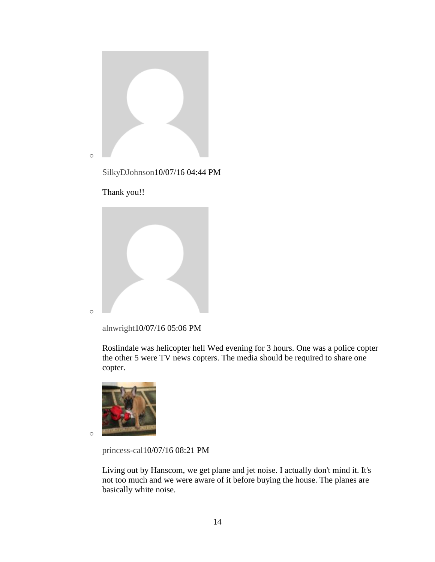

[SilkyDJohnson1](http://boston.com/community/user/5554252)0/07/16 04:44 PM

Thank you!!



[alnwright1](http://boston.com/community/user/5482276)0/07/16 05:06 PM

Roslindale was helicopter hell Wed evening for 3 hours. One was a police copter the other 5 were TV news copters. The media should be required to share one copter.



o

[princess-cal1](http://boston.com/community/user/5261300)0/07/16 08:21 PM

Living out by Hanscom, we get plane and jet noise. I actually don't mind it. It's not too much and we were aware of it before buying the house. The planes are basically white noise.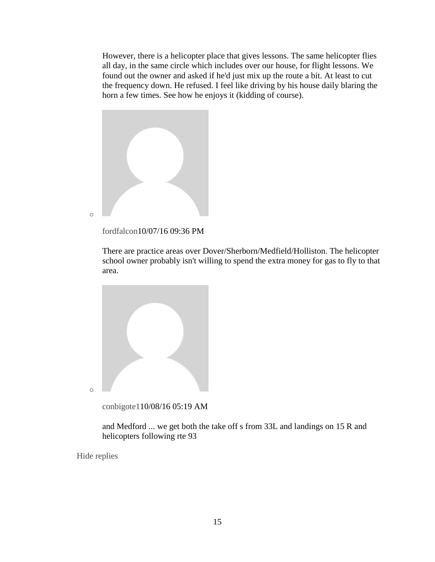However, there is a helicopter place that gives lessons. The same helicopter flies all day, in the same circle which includes over our house, for flight lessons. We found out the owner and asked if he'd just mix up the route a bit. At least to cut the frequency down. He refused. I feel like driving by his house daily blaring the horn a few times. See how he enjoys it (kidding of course).



[fordfalcon1](http://boston.com/community/user/5050136)0/07/16 09:36 PM

There are practice areas over Dover/Sherborn/Medfield/Holliston. The helicopter school owner probably isn't willing to spend the extra money for gas to fly to that area.



[conbigote11](http://boston.com/community/user/5290222)0/08/16 05:19 AM

and Medford ... we get both the take off s from 33L and landings on 15 R and helicopters following rte 93

[Hide replies](https://www.bostonglobe.com/business/2016/10/07/faa-massport-agree-study-airplane-noise-after-rising-complaints/hIVSjqJnk5vwv6gAHzk0eI/story.html)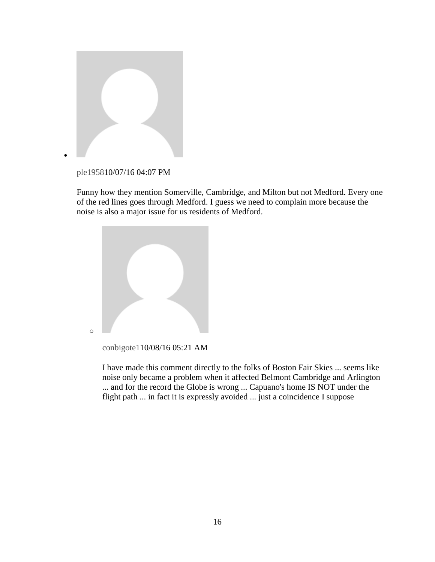

[ple19581](http://boston.com/community/user/5077548)0/07/16 04:07 PM

Funny how they mention Somerville, Cambridge, and Milton but not Medford. Every one of the red lines goes through Medford. I guess we need to complain more because the noise is also a major issue for us residents of Medford.



[conbigote11](http://boston.com/community/user/5290222)0/08/16 05:21 AM

I have made this comment directly to the folks of Boston Fair Skies ... seems like noise only became a problem when it affected Belmont Cambridge and Arlington ... and for the record the Globe is wrong ... Capuano's home IS NOT under the flight path ... in fact it is expressly avoided ... just a coincidence I suppose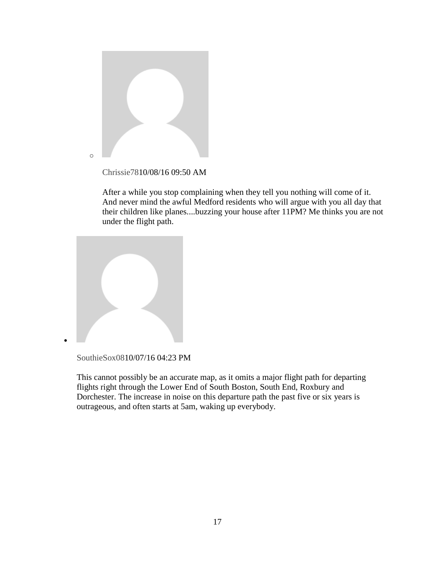

After a while you stop complaining when they tell you nothing will come of it.

And never mind the awful Medford residents who will argue with you all day that their children like planes....buzzing your house after 11PM? Me thinks you are not under the flight path.



[SouthieSox081](http://boston.com/community/user/5277492)0/07/16 04:23 PM

 $\bullet$ 

This cannot possibly be an accurate map, as it omits a major flight path for departing flights right through the Lower End of South Boston, South End, Roxbury and Dorchester. The increase in noise on this departure path the past five or six years is outrageous, and often starts at 5am, waking up everybody.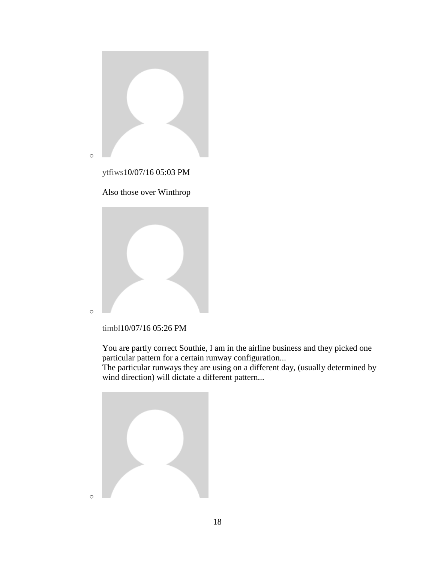

[ytfiws1](http://boston.com/community/user/5138100)0/07/16 05:03 PM







You are partly correct Southie, I am in the airline business and they picked one particular pattern for a certain runway configuration...

The particular runways they are using on a different day, (usually determined by wind direction) will dictate a different pattern...

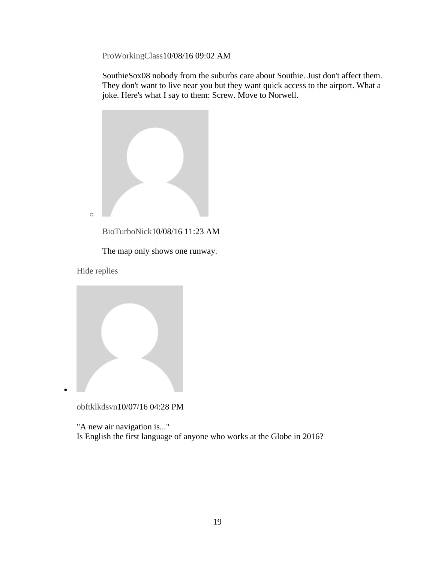[ProWorkingClass1](http://boston.com/community/user/5111076)0/08/16 09:02 AM

SouthieSox08 nobody from the suburbs care about Southie. Just don't affect them. They don't want to live near you but they want quick access to the airport. What a joke. Here's what I say to them: Screw. Move to Norwell.



[BioTurboNick1](http://boston.com/community/user/5519621)0/08/16 11:23 AM

The map only shows one runway.

[Hide replies](https://www.bostonglobe.com/business/2016/10/07/faa-massport-agree-study-airplane-noise-after-rising-complaints/hIVSjqJnk5vwv6gAHzk0eI/story.html)

 $\bullet$ 



[obftklkdsvn1](http://boston.com/community/user/5072664)0/07/16 04:28 PM

"A new air navigation is..." Is English the first language of anyone who works at the Globe in 2016?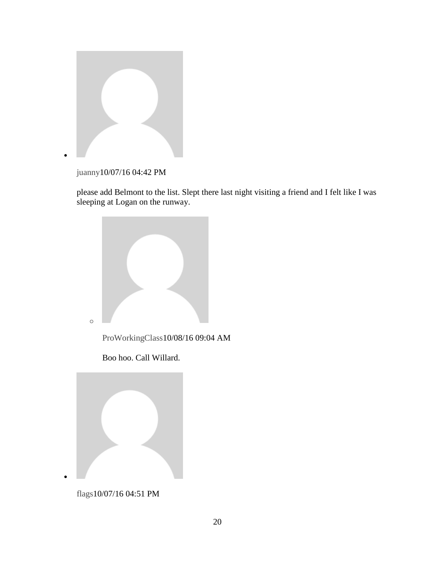

[juanny1](http://boston.com/community/user/5275932)0/07/16 04:42 PM

please add Belmont to the list. Slept there last night visiting a friend and I felt like I was sleeping at Logan on the runway.



Boo hoo. Call Willard.



[flags1](http://boston.com/community/user/5351921)0/07/16 04:51 PM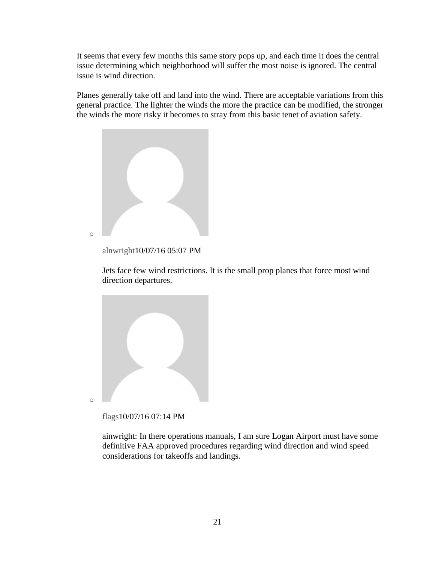It seems that every few months this same story pops up, and each time it does the central issue determining which neighborhood will suffer the most noise is ignored. The central issue is wind direction.

Planes generally take off and land into the wind. There are acceptable variations from this general practice. The lighter the winds the more the practice can be modified, the stronger the winds the more risky it becomes to stray from this basic tenet of aviation safety.



[alnwright1](http://boston.com/community/user/5482276)0/07/16 05:07 PM

Jets face few wind restrictions. It is the small prop planes that force most wind direction departures.



[flags1](http://boston.com/community/user/5351921)0/07/16 07:14 PM

ainwright: In there operations manuals, I am sure Logan Airport must have some definitive FAA approved procedures regarding wind direction and wind speed considerations for takeoffs and landings.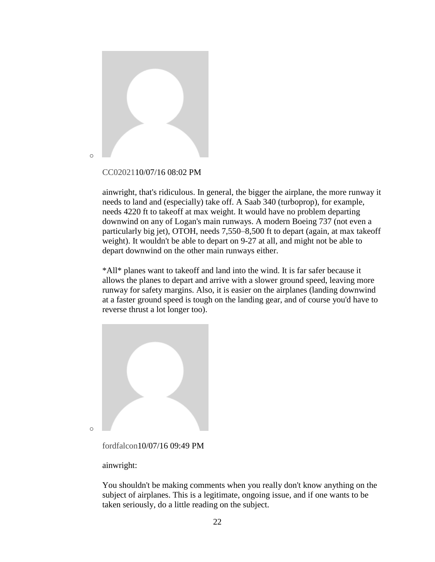

#### [CC020211](http://boston.com/community/user/5129225)0/07/16 08:02 PM

ainwright, that's ridiculous. In general, the bigger the airplane, the more runway it needs to land and (especially) take off. A Saab 340 (turboprop), for example, needs 4220 ft to takeoff at max weight. It would have no problem departing downwind on any of Logan's main runways. A modern Boeing 737 (not even a particularly big jet), OTOH, needs 7,550–8,500 ft to depart (again, at max takeoff weight). It wouldn't be able to depart on 9-27 at all, and might not be able to depart downwind on the other main runways either.

\*All\* planes want to takeoff and land into the wind. It is far safer because it allows the planes to depart and arrive with a slower ground speed, leaving more runway for safety margins. Also, it is easier on the airplanes (landing downwind at a faster ground speed is tough on the landing gear, and of course you'd have to reverse thrust a lot longer too).



ainwright:

You shouldn't be making comments when you really don't know anything on the subject of airplanes. This is a legitimate, ongoing issue, and if one wants to be taken seriously, do a little reading on the subject.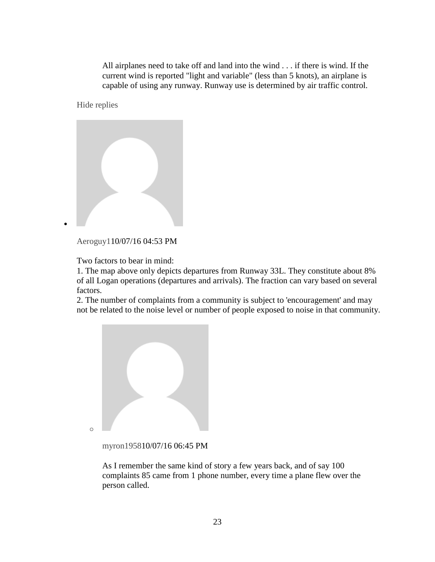All airplanes need to take off and land into the wind . . . if there is wind. If the current wind is reported "light and variable" (less than 5 knots), an airplane is capable of using any runway. Runway use is determined by air traffic control.

[Hide replies](https://www.bostonglobe.com/business/2016/10/07/faa-massport-agree-study-airplane-noise-after-rising-complaints/hIVSjqJnk5vwv6gAHzk0eI/story.html)

 $\bullet$ 



[Aeroguy11](http://boston.com/community/user/5266339)0/07/16 04:53 PM

Two factors to bear in mind:

1. The map above only depicts departures from Runway 33L. They constitute about 8% of all Logan operations (departures and arrivals). The fraction can vary based on several factors.

2. The number of complaints from a community is subject to 'encouragement' and may not be related to the noise level or number of people exposed to noise in that community.



[myron19581](http://boston.com/community/user/5269187)0/07/16 06:45 PM

As I remember the same kind of story a few years back, and of say 100 complaints 85 came from 1 phone number, every time a plane flew over the person called.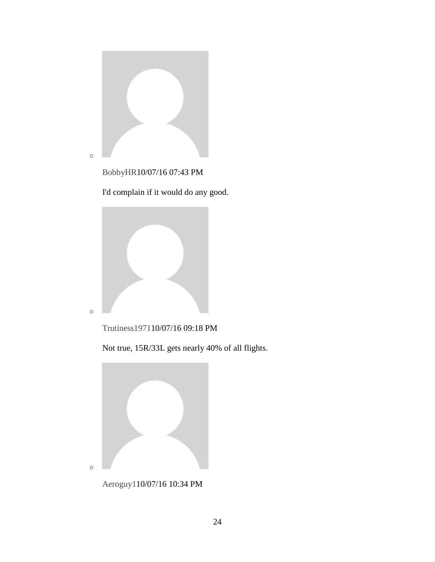

[BobbyHR1](http://boston.com/community/user/5288544)0/07/16 07:43 PM

I'd complain if it would do any good.





Not true, 15R/33L gets nearly 40% of all flights.



[Aeroguy11](http://boston.com/community/user/5266339)0/07/16 10:34 PM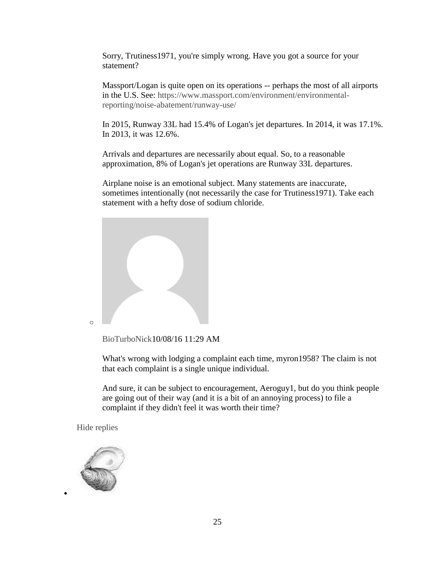Sorry, Trutiness1971, you're simply wrong. Have you got a source for your statement?

Massport/Logan is quite open on its operations -- perhaps the most of all airports in the U.S. See: [https://www.massport.com/environment/environmental](https://www.massport.com/environment/environmental-reporting/noise-abatement/runway-use/)[reporting/noise-abatement/runway-use/](https://www.massport.com/environment/environmental-reporting/noise-abatement/runway-use/)

In 2015, Runway 33L had 15.4% of Logan's jet departures. In 2014, it was 17.1%. In 2013, it was 12.6%.

Arrivals and departures are necessarily about equal. So, to a reasonable approximation, 8% of Logan's jet operations are Runway 33L departures.

Airplane noise is an emotional subject. Many statements are inaccurate, sometimes intentionally (not necessarily the case for Trutiness1971). Take each statement with a hefty dose of sodium chloride.



o

[BioTurboNick1](http://boston.com/community/user/5519621)0/08/16 11:29 AM

What's wrong with lodging a complaint each time, myron1958? The claim is not that each complaint is a single unique individual.

And sure, it can be subject to encouragement, Aeroguy1, but do you think people are going out of their way (and it is a bit of an annoying process) to file a complaint if they didn't feel it was worth their time?

[Hide replies](https://www.bostonglobe.com/business/2016/10/07/faa-massport-agree-study-airplane-noise-after-rising-complaints/hIVSjqJnk5vwv6gAHzk0eI/story.html)



 $\bullet$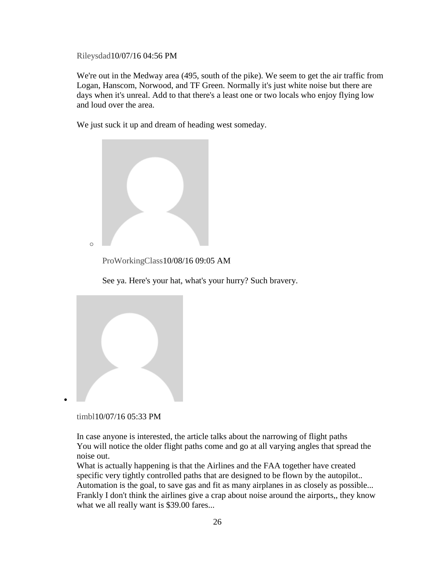[Rileysdad1](http://boston.com/community/user/5022793)0/07/16 04:56 PM

We're out in the Medway area (495, south of the pike). We seem to get the air traffic from Logan, Hanscom, Norwood, and TF Green. Normally it's just white noise but there are days when it's unreal. Add to that there's a least one or two locals who enjoy flying low and loud over the area.

We just suck it up and dream of heading west someday.



[ProWorkingClass1](http://boston.com/community/user/5111076)0/08/16 09:05 AM

See ya. Here's your hat, what's your hurry? Such bravery.



[timbl1](http://boston.com/community/user/5455083)0/07/16 05:33 PM

In case anyone is interested, the article talks about the narrowing of flight paths You will notice the older flight paths come and go at all varying angles that spread the noise out.

What is actually happening is that the Airlines and the FAA together have created specific very tightly controlled paths that are designed to be flown by the autopilot.. Automation is the goal, to save gas and fit as many airplanes in as closely as possible... Frankly I don't think the airlines give a crap about noise around the airports,, they know what we all really want is \$39.00 fares...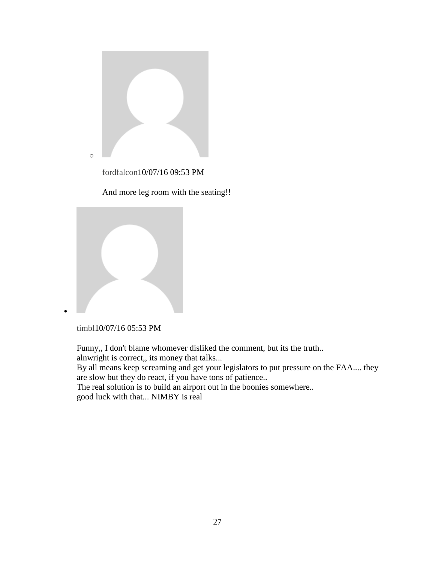

[fordfalcon1](http://boston.com/community/user/5050136)0/07/16 09:53 PM

And more leg room with the seating!!





 $\bullet$ 

Funny,, I don't blame whomever disliked the comment, but its the truth.. alnwright is correct,, its money that talks...

By all means keep screaming and get your legislators to put pressure on the FAA.... they are slow but they do react, if you have tons of patience..

The real solution is to build an airport out in the boonies somewhere.. good luck with that... NIMBY is real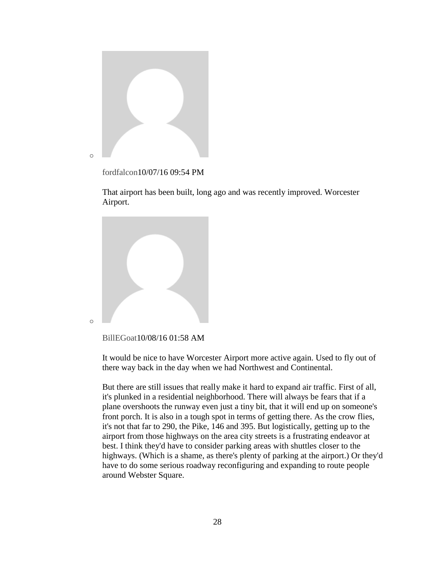

[fordfalcon1](http://boston.com/community/user/5050136)0/07/16 09:54 PM

That airport has been built, long ago and was recently improved. Worcester Airport.



```
BillEGoat10/08/16 01:58 AM
```
It would be nice to have Worcester Airport more active again. Used to fly out of there way back in the day when we had Northwest and Continental.

But there are still issues that really make it hard to expand air traffic. First of all, it's plunked in a residential neighborhood. There will always be fears that if a plane overshoots the runway even just a tiny bit, that it will end up on someone's front porch. It is also in a tough spot in terms of getting there. As the crow flies, it's not that far to 290, the Pike, 146 and 395. But logistically, getting up to the airport from those highways on the area city streets is a frustrating endeavor at best. I think they'd have to consider parking areas with shuttles closer to the highways. (Which is a shame, as there's plenty of parking at the airport.) Or they'd have to do some serious roadway reconfiguring and expanding to route people around Webster Square.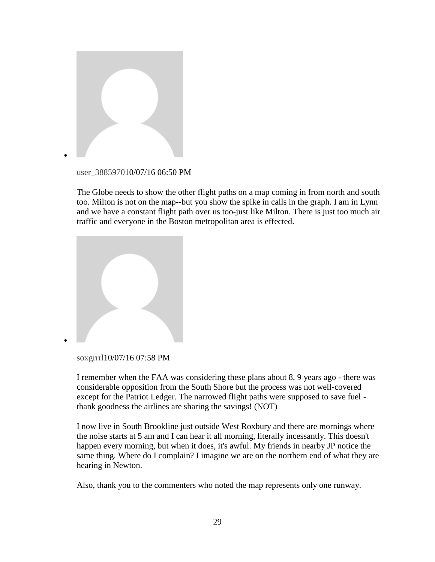

[user\\_38859701](http://boston.com/community/user/5374833)0/07/16 06:50 PM

The Globe needs to show the other flight paths on a map coming in from north and south too. Milton is not on the map--but you show the spike in calls in the graph. I am in Lynn and we have a constant flight path over us too-just like Milton. There is just too much air traffic and everyone in the Boston metropolitan area is effected.



[soxgrrrl1](http://boston.com/community/user/5038943)0/07/16 07:58 PM

 $\bullet$ 

I remember when the FAA was considering these plans about 8, 9 years ago - there was considerable opposition from the South Shore but the process was not well-covered except for the Patriot Ledger. The narrowed flight paths were supposed to save fuel thank goodness the airlines are sharing the savings! (NOT)

I now live in South Brookline just outside West Roxbury and there are mornings where the noise starts at 5 am and I can hear it all morning, literally incessantly. This doesn't happen every morning, but when it does, it's awful. My friends in nearby JP notice the same thing. Where do I complain? I imagine we are on the northern end of what they are hearing in Newton.

Also, thank you to the commenters who noted the map represents only one runway.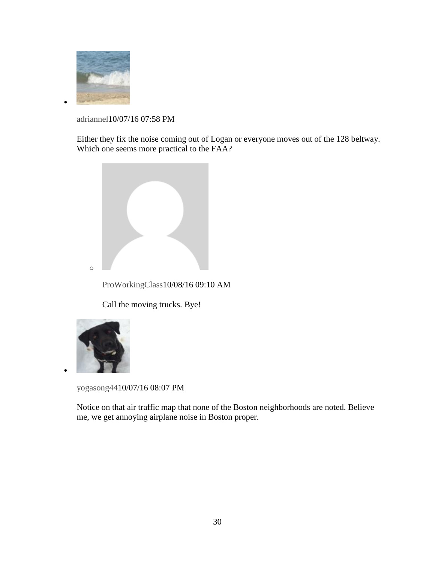

 $\bullet$ 

[adriannel1](http://boston.com/community/user/5006593)0/07/16 07:58 PM

Either they fix the noise coming out of Logan or everyone moves out of the 128 beltway. Which one seems more practical to the FAA?



[ProWorkingClass1](http://boston.com/community/user/5111076)0/08/16 09:10 AM

Call the moving trucks. Bye!



 $\bullet$ 

[yogasong441](http://boston.com/community/user/5092430)0/07/16 08:07 PM

Notice on that air traffic map that none of the Boston neighborhoods are noted. Believe me, we get annoying airplane noise in Boston proper.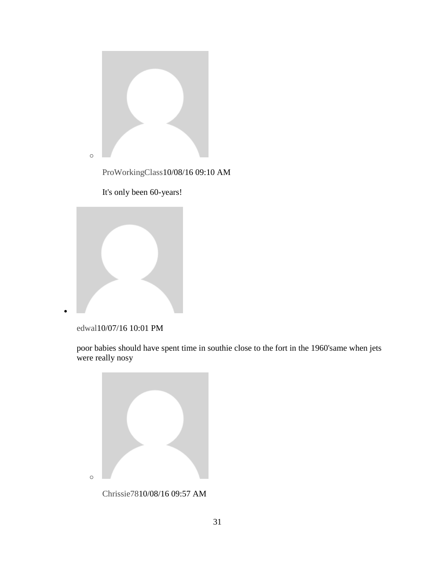

[ProWorkingClass1](http://boston.com/community/user/5111076)0/08/16 09:10 AM





[edwal1](http://boston.com/community/user/5404124)0/07/16 10:01 PM

 $\bullet$ 

poor babies should have spent time in southie close to the fort in the 1960'same when jets were really nosy



[Chrissie781](http://boston.com/community/user/5366454)0/08/16 09:57 AM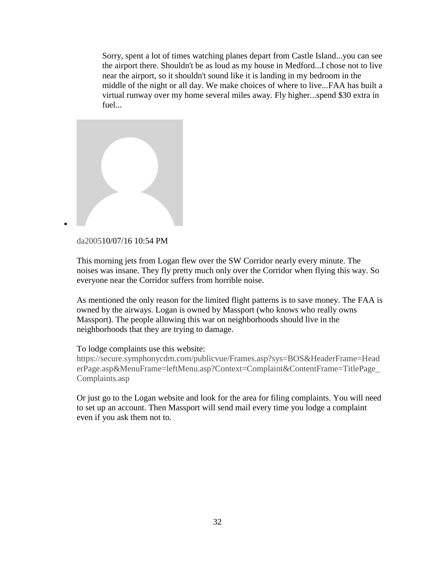Sorry, spent a lot of times watching planes depart from Castle Island...you can see the airport there. Shouldn't be as loud as my house in Medford...I chose not to live near the airport, so it shouldn't sound like it is landing in my bedroom in the middle of the night or all day. We make choices of where to live...FAA has built a virtual runway over my home several miles away. Fly higher...spend \$30 extra in fuel...



## [da20051](http://boston.com/community/user/5302066)0/07/16 10:54 PM

 $\bullet$ 

This morning jets from Logan flew over the SW Corridor nearly every minute. The noises was insane. They fly pretty much only over the Corridor when flying this way. So everyone near the Corridor suffers from horrible noise.

As mentioned the only reason for the limited flight patterns is to save money. The FAA is owned by the airways. Logan is owned by Massport (who knows who really owns Massport). The people allowing this war on neighborhoods should live in the neighborhoods that they are trying to damage.

## To lodge complaints use this website:

[https://secure.symphonycdm.com/publicvue/Frames.asp?sys=BOS&HeaderFrame=Head](https://secure.symphonycdm.com/publicvue/Frames.asp?sys=BOS&HeaderFrame=HeaderPage.asp&MenuFrame=leftMenu.asp?Context=Complaint&ContentFrame=TitlePage_Complaints.asp) [erPage.asp&MenuFrame=leftMenu.asp?Context=Complaint&ContentFrame=TitlePage\\_](https://secure.symphonycdm.com/publicvue/Frames.asp?sys=BOS&HeaderFrame=HeaderPage.asp&MenuFrame=leftMenu.asp?Context=Complaint&ContentFrame=TitlePage_Complaints.asp) [Complaints.asp](https://secure.symphonycdm.com/publicvue/Frames.asp?sys=BOS&HeaderFrame=HeaderPage.asp&MenuFrame=leftMenu.asp?Context=Complaint&ContentFrame=TitlePage_Complaints.asp)

Or just go to the Logan website and look for the area for filing complaints. You will need to set up an account. Then Massport will send mail every time you lodge a complaint even if you ask them not to.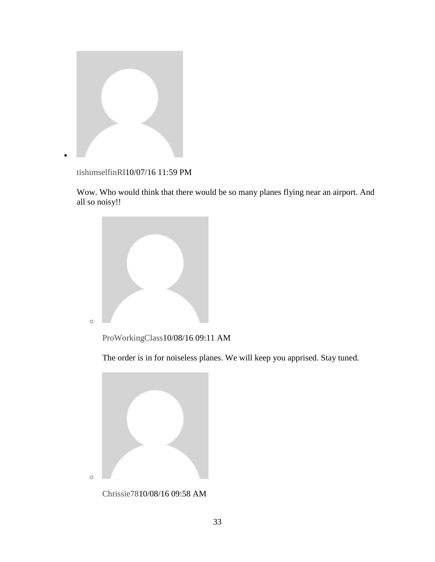

[tishimselfinRI1](http://boston.com/community/user/5477267)0/07/16 11:59 PM

Wow. Who would think that there would be so many planes flying near an airport. And all so noisy!!



[ProWorkingClass1](http://boston.com/community/user/5111076)0/08/16 09:11 AM

The order is in for noiseless planes. We will keep you apprised. Stay tuned.



[Chrissie781](http://boston.com/community/user/5366454)0/08/16 09:58 AM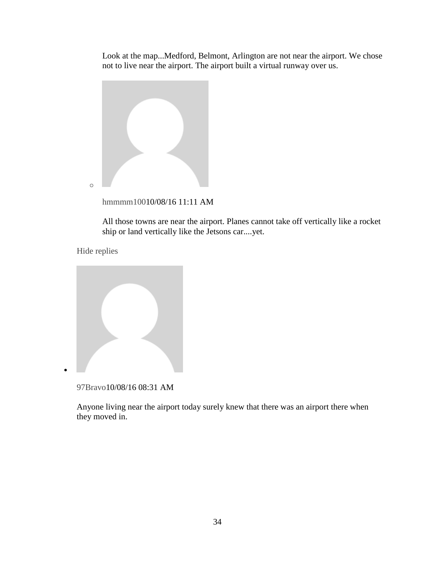Look at the map...Medford, Belmont, Arlington are not near the airport. We chose not to live near the airport. The airport built a virtual runway over us.



[hmmmm1001](http://boston.com/community/user/5367710)0/08/16 11:11 AM

All those towns are near the airport. Planes cannot take off vertically like a rocket ship or land vertically like the Jetsons car....yet.

[Hide replies](https://www.bostonglobe.com/business/2016/10/07/faa-massport-agree-study-airplane-noise-after-rising-complaints/hIVSjqJnk5vwv6gAHzk0eI/story.html)

 $\bullet$ 

[97Bravo1](http://boston.com/community/user/5363933)0/08/16 08:31 AM

Anyone living near the airport today surely knew that there was an airport there when they moved in.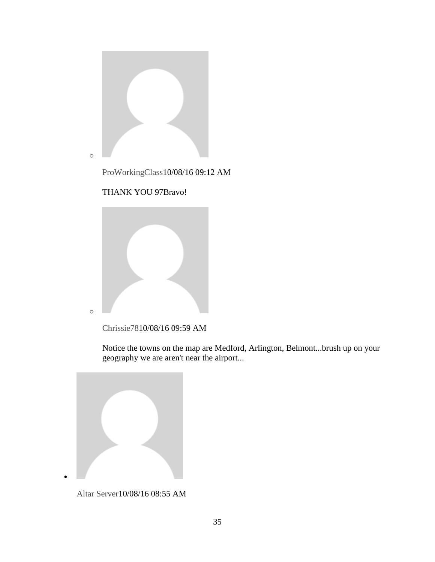

[ProWorkingClass1](http://boston.com/community/user/5111076)0/08/16 09:12 AM





[Chrissie781](http://boston.com/community/user/5366454)0/08/16 09:59 AM

Notice the towns on the map are Medford, Arlington, Belmont...brush up on your geography we are aren't near the airport...



[Altar Server1](http://boston.com/community/user/5356417)0/08/16 08:55 AM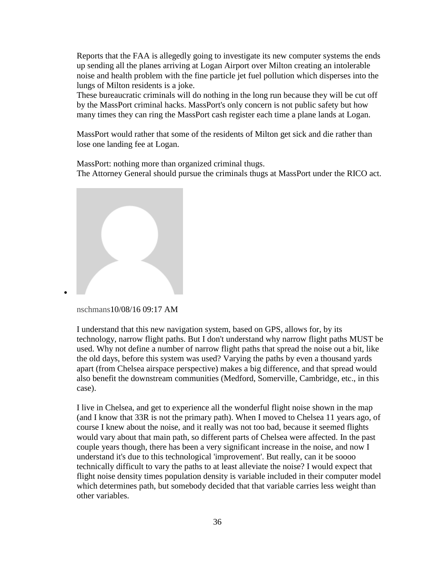Reports that the FAA is allegedly going to investigate its new computer systems the ends up sending all the planes arriving at Logan Airport over Milton creating an intolerable noise and health problem with the fine particle jet fuel pollution which disperses into the lungs of Milton residents is a joke.

These bureaucratic criminals will do nothing in the long run because they will be cut off by the MassPort criminal hacks. MassPort's only concern is not public safety but how many times they can ring the MassPort cash register each time a plane lands at Logan.

MassPort would rather that some of the residents of Milton get sick and die rather than lose one landing fee at Logan.

MassPort: nothing more than organized criminal thugs. The Attorney General should pursue the criminals thugs at MassPort under the RICO act.



[nschmans1](http://boston.com/community/user/5358671)0/08/16 09:17 AM

 $\bullet$ 

I understand that this new navigation system, based on GPS, allows for, by its technology, narrow flight paths. But I don't understand why narrow flight paths MUST be used. Why not define a number of narrow flight paths that spread the noise out a bit, like the old days, before this system was used? Varying the paths by even a thousand yards apart (from Chelsea airspace perspective) makes a big difference, and that spread would also benefit the downstream communities (Medford, Somerville, Cambridge, etc., in this case).

I live in Chelsea, and get to experience all the wonderful flight noise shown in the map (and I know that 33R is not the primary path). When I moved to Chelsea 11 years ago, of course I knew about the noise, and it really was not too bad, because it seemed flights would vary about that main path, so different parts of Chelsea were affected. In the past couple years though, there has been a very significant increase in the noise, and now I understand it's due to this technological 'improvement'. But really, can it be soooo technically difficult to vary the paths to at least alleviate the noise? I would expect that flight noise density times population density is variable included in their computer model which determines path, but somebody decided that that variable carries less weight than other variables.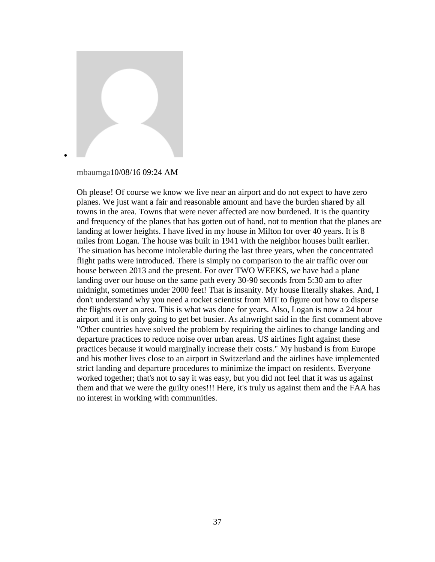

[mbaumga1](http://boston.com/community/user/5359040)0/08/16 09:24 AM

Oh please! Of course we know we live near an airport and do not expect to have zero planes. We just want a fair and reasonable amount and have the burden shared by all towns in the area. Towns that were never affected are now burdened. It is the quantity and frequency of the planes that has gotten out of hand, not to mention that the planes are landing at lower heights. I have lived in my house in Milton for over 40 years. It is 8 miles from Logan. The house was built in 1941 with the neighbor houses built earlier. The situation has become intolerable during the last three years, when the concentrated flight paths were introduced. There is simply no comparison to the air traffic over our house between 2013 and the present. For over TWO WEEKS, we have had a plane landing over our house on the same path every 30-90 seconds from 5:30 am to after midnight, sometimes under 2000 feet! That is insanity. My house literally shakes. And, I don't understand why you need a rocket scientist from MIT to figure out how to disperse the flights over an area. This is what was done for years. Also, Logan is now a 24 hour airport and it is only going to get bet busier. As alnwright said in the first comment above "Other countries have solved the problem by requiring the airlines to change landing and departure practices to reduce noise over urban areas. US airlines fight against these practices because it would marginally increase their costs." My husband is from Europe and his mother lives close to an airport in Switzerland and the airlines have implemented strict landing and departure procedures to minimize the impact on residents. Everyone worked together; that's not to say it was easy, but you did not feel that it was us against them and that we were the guilty ones!!! Here, it's truly us against them and the FAA has no interest in working with communities.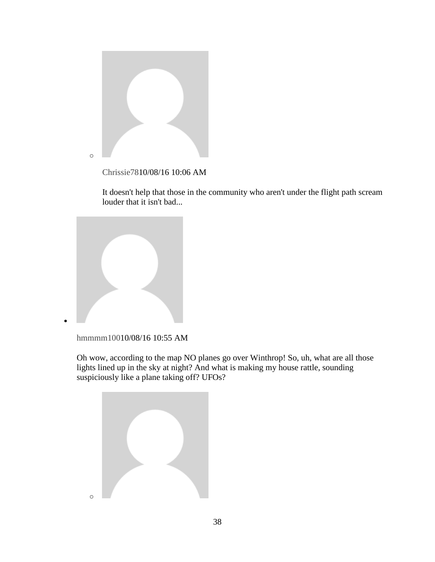

[Chrissie781](http://boston.com/community/user/5366454)0/08/16 10:06 AM

It doesn't help that those in the community who aren't under the flight path scream louder that it isn't bad...



[hmmmm1001](http://boston.com/community/user/5367710)0/08/16 10:55 AM

 $\bullet$ 

Oh wow, according to the map NO planes go over Winthrop! So, uh, what are all those lights lined up in the sky at night? And what is making my house rattle, sounding suspiciously like a plane taking off? UFOs?